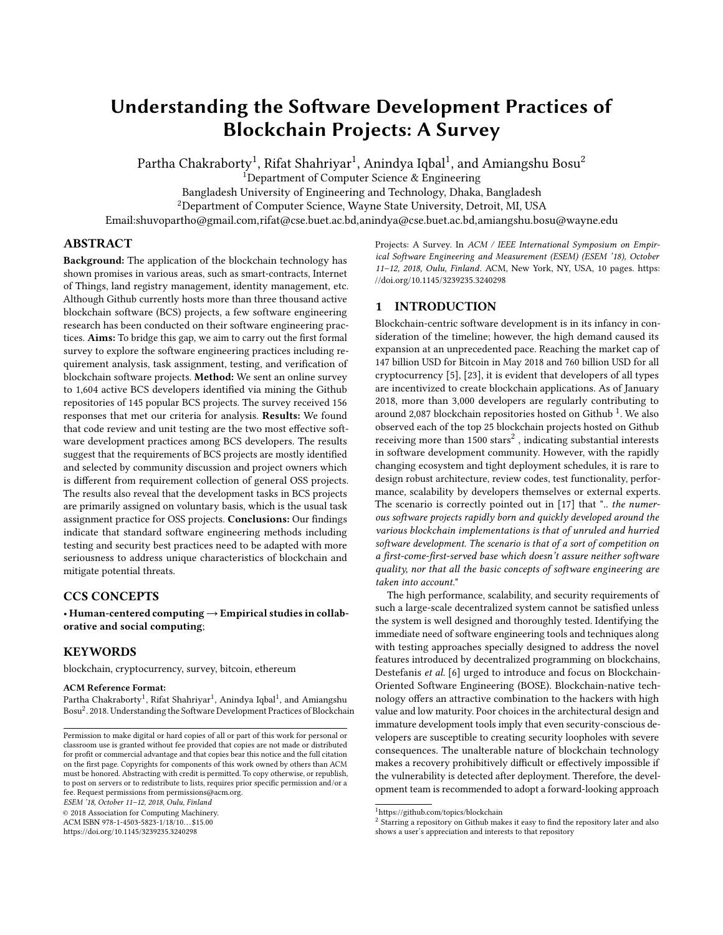# Understanding the Software Development Practices of Blockchain Projects: A Survey

Partha Chakraborty $^1$ , Rifat Shahriyar $^1$ , Anindya Iqbal $^1$ , and Amiangshu Bosu $^2$ 

<sup>1</sup>Department of Computer Science  $\&$  Engineering

Bangladesh University of Engineering and Technology, Dhaka, Bangladesh

<sup>2</sup>Department of Computer Science, Wayne State University, Detroit, MI, USA

Email:shuvopartho@gmail.com,rifat@cse.buet.ac.bd,anindya@cse.buet.ac.bd,amiangshu.bosu@wayne.edu

# ABSTRACT

Background: The application of the blockchain technology has shown promises in various areas, such as smart-contracts, Internet of Things, land registry management, identity management, etc. Although Github currently hosts more than three thousand active blockchain software (BCS) projects, a few software engineering research has been conducted on their software engineering practices. Aims: To bridge this gap, we aim to carry out the first formal survey to explore the software engineering practices including requirement analysis, task assignment, testing, and verification of blockchain software projects. Method: We sent an online survey to 1,604 active BCS developers identified via mining the Github repositories of 145 popular BCS projects. The survey received 156 responses that met our criteria for analysis. Results: We found that code review and unit testing are the two most effective software development practices among BCS developers. The results suggest that the requirements of BCS projects are mostly identified and selected by community discussion and project owners which is different from requirement collection of general OSS projects. The results also reveal that the development tasks in BCS projects are primarily assigned on voluntary basis, which is the usual task assignment practice for OSS projects. Conclusions: Our findings indicate that standard software engineering methods including testing and security best practices need to be adapted with more seriousness to address unique characteristics of blockchain and mitigate potential threats.

# CCS CONCEPTS

• Human-centered computing  $\rightarrow$  Empirical studies in collaborative and social computing;

# **KEYWORDS**

blockchain, cryptocurrency, survey, bitcoin, ethereum

#### ACM Reference Format:

Partha Chakraborty<sup>1</sup>, Rifat Shahriyar<sup>1</sup>, Anindya Iqbal<sup>1</sup>, and Amiangshu Bosu<sup>2</sup> . 2018. Understanding the Software Development Practices of Blockchain

ESEM '18, October 11–12, 2018, Oulu, Finland

© 2018 Association for Computing Machinery.

ACM ISBN 978-1-4503-5823-1/18/10...\$15.00 <https://doi.org/10.1145/3239235.3240298>

Projects: A Survey. In ACM / IEEE International Symposium on Empirical Software Engineering and Measurement (ESEM) (ESEM '18), October 11–12, 2018, Oulu, Finland. ACM, New York, NY, USA, [10](#page-9-0) pages. [https:](https://doi.org/10.1145/3239235.3240298) [//doi.org/10.1145/3239235.3240298](https://doi.org/10.1145/3239235.3240298)

# 1 INTRODUCTION

Blockchain-centric software development is in its infancy in consideration of the timeline; however, the high demand caused its expansion at an unprecedented pace. Reaching the market cap of 147 billion USD for Bitcoin in May 2018 and 760 billion USD for all cryptocurrency [\[5\]](#page-9-1), [\[23\]](#page-9-2), it is evident that developers of all types are incentivized to create blockchain applications. As of January 2018, more than 3,000 developers are regularly contributing to around 2,087 blockchain repositories hosted on Github<sup>[1](#page-0-0)</sup>. We also observed each of the top 25 blockchain projects hosted on Github receiving more than 1500 stars $^2$  $^2$  , indicating substantial interests in software development community. However, with the rapidly changing ecosystem and tight deployment schedules, it is rare to design robust architecture, review codes, test functionality, performance, scalability by developers themselves or external experts. The scenario is correctly pointed out in [\[17\]](#page-9-3) that ".. the numerous software projects rapidly born and quickly developed around the various blockchain implementations is that of unruled and hurried software development. The scenario is that of a sort of competition on a first-come-first-served base which doesn't assure neither software quality, nor that all the basic concepts of software engineering are taken into account."

The high performance, scalability, and security requirements of such a large-scale decentralized system cannot be satisfied unless the system is well designed and thoroughly tested. Identifying the immediate need of software engineering tools and techniques along with testing approaches specially designed to address the novel features introduced by decentralized programming on blockchains, Destefanis et al. [\[6\]](#page-9-4) urged to introduce and focus on Blockchain-Oriented Software Engineering (BOSE). Blockchain-native technology offers an attractive combination to the hackers with high value and low maturity. Poor choices in the architectural design and immature development tools imply that even security-conscious developers are susceptible to creating security loopholes with severe consequences. The unalterable nature of blockchain technology makes a recovery prohibitively difficult or effectively impossible if the vulnerability is detected after deployment. Therefore, the development team is recommended to adopt a forward-looking approach

Permission to make digital or hard copies of all or part of this work for personal or classroom use is granted without fee provided that copies are not made or distributed for profit or commercial advantage and that copies bear this notice and the full citation on the first page. Copyrights for components of this work owned by others than ACM must be honored. Abstracting with credit is permitted. To copy otherwise, or republish, to post on servers or to redistribute to lists, requires prior specific permission and/or a fee. Request permissions from permissions@acm.org.

<span id="page-0-0"></span><sup>1</sup><https://github.com/topics/blockchain>

<span id="page-0-1"></span><sup>&</sup>lt;sup>2</sup> Starring a repository on Github makes it easy to find the repository later and also shows a user's appreciation and interests to that repository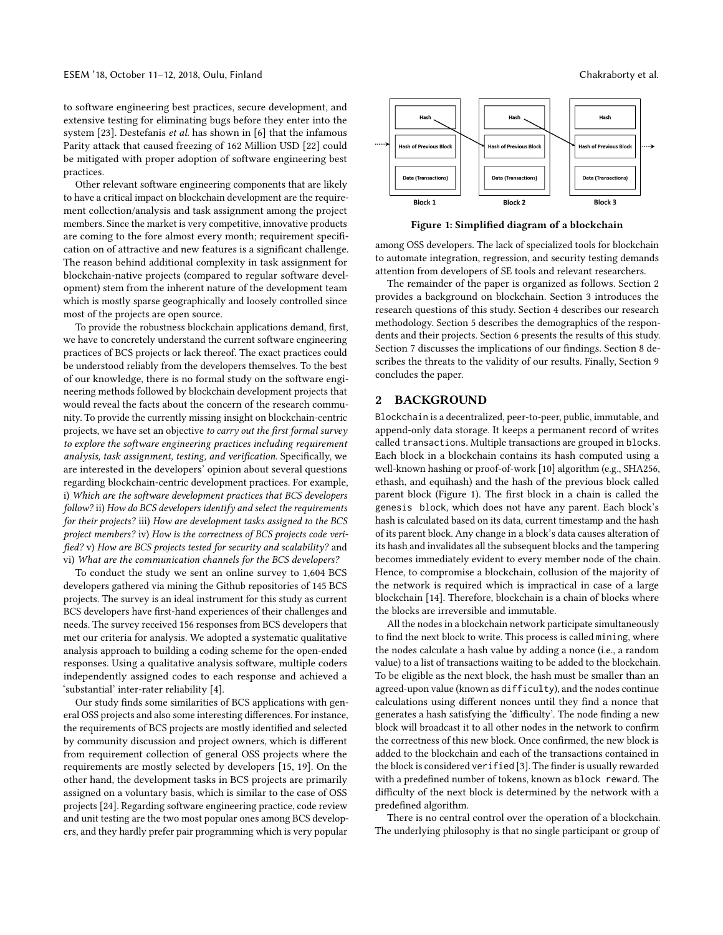to software engineering best practices, secure development, and extensive testing for eliminating bugs before they enter into the system [\[23\]](#page-9-2). Destefanis et al. has shown in [\[6\]](#page-9-4) that the infamous Parity attack that caused freezing of 162 Million USD [\[22\]](#page-9-5) could be mitigated with proper adoption of software engineering best practices.

Other relevant software engineering components that are likely to have a critical impact on blockchain development are the requirement collection/analysis and task assignment among the project members. Since the market is very competitive, innovative products are coming to the fore almost every month; requirement specification on of attractive and new features is a significant challenge. The reason behind additional complexity in task assignment for blockchain-native projects (compared to regular software development) stem from the inherent nature of the development team which is mostly sparse geographically and loosely controlled since most of the projects are open source.

To provide the robustness blockchain applications demand, first, we have to concretely understand the current software engineering practices of BCS projects or lack thereof. The exact practices could be understood reliably from the developers themselves. To the best of our knowledge, there is no formal study on the software engineering methods followed by blockchain development projects that would reveal the facts about the concern of the research community. To provide the currently missing insight on blockchain-centric projects, we have set an objective to carry out the first formal survey to explore the software engineering practices including requirement analysis, task assignment, testing, and verification. Specifically, we are interested in the developers' opinion about several questions regarding blockchain-centric development practices. For example, i) Which are the software development practices that BCS developers follow? ii) How do BCS developers identify and select the requirements for their projects? iii) How are development tasks assigned to the BCS project members? iv) How is the correctness of BCS projects code verified? v) How are BCS projects tested for security and scalability? and vi) What are the communication channels for the BCS developers?

To conduct the study we sent an online survey to 1,604 BCS developers gathered via mining the Github repositories of 145 BCS projects. The survey is an ideal instrument for this study as current BCS developers have first-hand experiences of their challenges and needs. The survey received 156 responses from BCS developers that met our criteria for analysis. We adopted a systematic qualitative analysis approach to building a coding scheme for the open-ended responses. Using a qualitative analysis software, multiple coders independently assigned codes to each response and achieved a 'substantial' inter-rater reliability [\[4\]](#page-9-6).

Our study finds some similarities of BCS applications with general OSS projects and also some interesting differences. For instance, the requirements of BCS projects are mostly identified and selected by community discussion and project owners, which is different from requirement collection of general OSS projects where the requirements are mostly selected by developers [\[15,](#page-9-7) [19\]](#page-9-8). On the other hand, the development tasks in BCS projects are primarily assigned on a voluntary basis, which is similar to the case of OSS projects [\[24\]](#page-9-9). Regarding software engineering practice, code review and unit testing are the two most popular ones among BCS developers, and they hardly prefer pair programming which is very popular

<span id="page-1-1"></span>

Figure 1: Simplified diagram of a blockchain

among OSS developers. The lack of specialized tools for blockchain to automate integration, regression, and security testing demands attention from developers of SE tools and relevant researchers.

The remainder of the paper is organized as follows. Section [2](#page-1-0) provides a background on blockchain. Section [3](#page-2-0) introduces the research questions of this study. Section [4](#page-2-1) describes our research methodology. Section [5](#page-4-0) describes the demographics of the respondents and their projects. Section [6](#page-4-1) presents the results of this study. Section [7](#page-8-0) discusses the implications of our findings. Section [8](#page-9-10) describes the threats to the validity of our results. Finally, Section [9](#page-9-11) concludes the paper.

# <span id="page-1-0"></span>2 BACKGROUND

Blockchain is a decentralized, peer-to-peer, public, immutable, and append-only data storage. It keeps a permanent record of writes called transactions. Multiple transactions are grouped in blocks. Each block in a blockchain contains its hash computed using a well-known hashing or proof-of-work [\[10\]](#page-9-12) algorithm (e.g., SHA256, ethash, and equihash) and the hash of the previous block called parent block (Figure [1\)](#page-1-1). The first block in a chain is called the genesis block, which does not have any parent. Each block's hash is calculated based on its data, current timestamp and the hash of its parent block. Any change in a block's data causes alteration of its hash and invalidates all the subsequent blocks and the tampering becomes immediately evident to every member node of the chain. Hence, to compromise a blockchain, collusion of the majority of the network is required which is impractical in case of a large blockchain [\[14\]](#page-9-13). Therefore, blockchain is a chain of blocks where the blocks are irreversible and immutable.

All the nodes in a blockchain network participate simultaneously to find the next block to write. This process is called mining, where the nodes calculate a hash value by adding a nonce (i.e., a random value) to a list of transactions waiting to be added to the blockchain. To be eligible as the next block, the hash must be smaller than an agreed-upon value (known as difficulty), and the nodes continue calculations using different nonces until they find a nonce that generates a hash satisfying the 'difficulty'. The node finding a new block will broadcast it to all other nodes in the network to confirm the correctness of this new block. Once confirmed, the new block is added to the blockchain and each of the transactions contained in the block is considered verified [\[3\]](#page-9-14). The finder is usually rewarded with a predefined number of tokens, known as block reward. The difficulty of the next block is determined by the network with a predefined algorithm.

There is no central control over the operation of a blockchain. The underlying philosophy is that no single participant or group of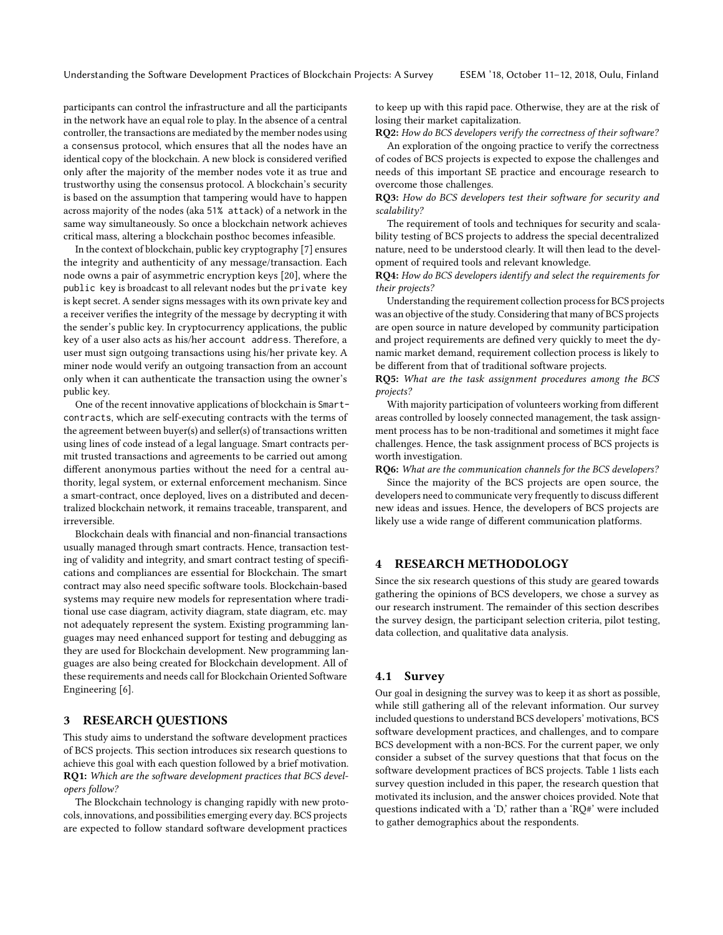participants can control the infrastructure and all the participants in the network have an equal role to play. In the absence of a central controller, the transactions are mediated by the member nodes using a consensus protocol, which ensures that all the nodes have an identical copy of the blockchain. A new block is considered verified only after the majority of the member nodes vote it as true and trustworthy using the consensus protocol. A blockchain's security is based on the assumption that tampering would have to happen across majority of the nodes (aka 51% attack) of a network in the same way simultaneously. So once a blockchain network achieves critical mass, altering a blockchain posthoc becomes infeasible.

In the context of blockchain, public key cryptography [\[7\]](#page-9-15) ensures the integrity and authenticity of any message/transaction. Each node owns a pair of asymmetric encryption keys [\[20\]](#page-9-16), where the public key is broadcast to all relevant nodes but the private key is kept secret. A sender signs messages with its own private key and a receiver verifies the integrity of the message by decrypting it with the sender's public key. In cryptocurrency applications, the public key of a user also acts as his/her account address. Therefore, a user must sign outgoing transactions using his/her private key. A miner node would verify an outgoing transaction from an account only when it can authenticate the transaction using the owner's public key.

One of the recent innovative applications of blockchain is Smartcontracts, which are self-executing contracts with the terms of the agreement between buyer(s) and seller(s) of transactions written using lines of code instead of a legal language. Smart contracts permit trusted transactions and agreements to be carried out among different anonymous parties without the need for a central authority, legal system, or external enforcement mechanism. Since a smart-contract, once deployed, lives on a distributed and decentralized blockchain network, it remains traceable, transparent, and irreversible.

Blockchain deals with financial and non-financial transactions usually managed through smart contracts. Hence, transaction testing of validity and integrity, and smart contract testing of specifications and compliances are essential for Blockchain. The smart contract may also need specific software tools. Blockchain-based systems may require new models for representation where traditional use case diagram, activity diagram, state diagram, etc. may not adequately represent the system. Existing programming languages may need enhanced support for testing and debugging as they are used for Blockchain development. New programming languages are also being created for Blockchain development. All of these requirements and needs call for Blockchain Oriented Software Engineering [\[6\]](#page-9-4).

# <span id="page-2-0"></span>3 RESEARCH QUESTIONS

This study aims to understand the software development practices of BCS projects. This section introduces six research questions to achieve this goal with each question followed by a brief motivation. RQ1: Which are the software development practices that BCS developers follow?

The Blockchain technology is changing rapidly with new protocols, innovations, and possibilities emerging every day. BCS projects are expected to follow standard software development practices

to keep up with this rapid pace. Otherwise, they are at the risk of losing their market capitalization.

RQ2: How do BCS developers verify the correctness of their software? An exploration of the ongoing practice to verify the correctness of codes of BCS projects is expected to expose the challenges and needs of this important SE practice and encourage research to overcome those challenges.

RQ3: How do BCS developers test their software for security and scalability?

The requirement of tools and techniques for security and scalability testing of BCS projects to address the special decentralized nature, need to be understood clearly. It will then lead to the development of required tools and relevant knowledge.

RQ4: How do BCS developers identify and select the requirements for their projects?

Understanding the requirement collection process for BCS projects was an objective of the study. Considering that many of BCS projects are open source in nature developed by community participation and project requirements are defined very quickly to meet the dynamic market demand, requirement collection process is likely to be different from that of traditional software projects.

RQ5: What are the task assignment procedures among the BCS projects?

With majority participation of volunteers working from different areas controlled by loosely connected management, the task assignment process has to be non-traditional and sometimes it might face challenges. Hence, the task assignment process of BCS projects is worth investigation.

RQ6: What are the communication channels for the BCS developers?

Since the majority of the BCS projects are open source, the developers need to communicate very frequently to discuss different new ideas and issues. Hence, the developers of BCS projects are likely use a wide range of different communication platforms.

# <span id="page-2-1"></span>4 RESEARCH METHODOLOGY

Since the six research questions of this study are geared towards gathering the opinions of BCS developers, we chose a survey as our research instrument. The remainder of this section describes the survey design, the participant selection criteria, pilot testing, data collection, and qualitative data analysis.

# 4.1 Survey

Our goal in designing the survey was to keep it as short as possible, while still gathering all of the relevant information. Our survey included questions to understand BCS developers' motivations, BCS software development practices, and challenges, and to compare BCS development with a non-BCS. For the current paper, we only consider a subset of the survey questions that that focus on the software development practices of BCS projects. Table [1](#page-3-0) lists each survey question included in this paper, the research question that motivated its inclusion, and the answer choices provided. Note that questions indicated with a 'D,' rather than a 'RQ#' were included to gather demographics about the respondents.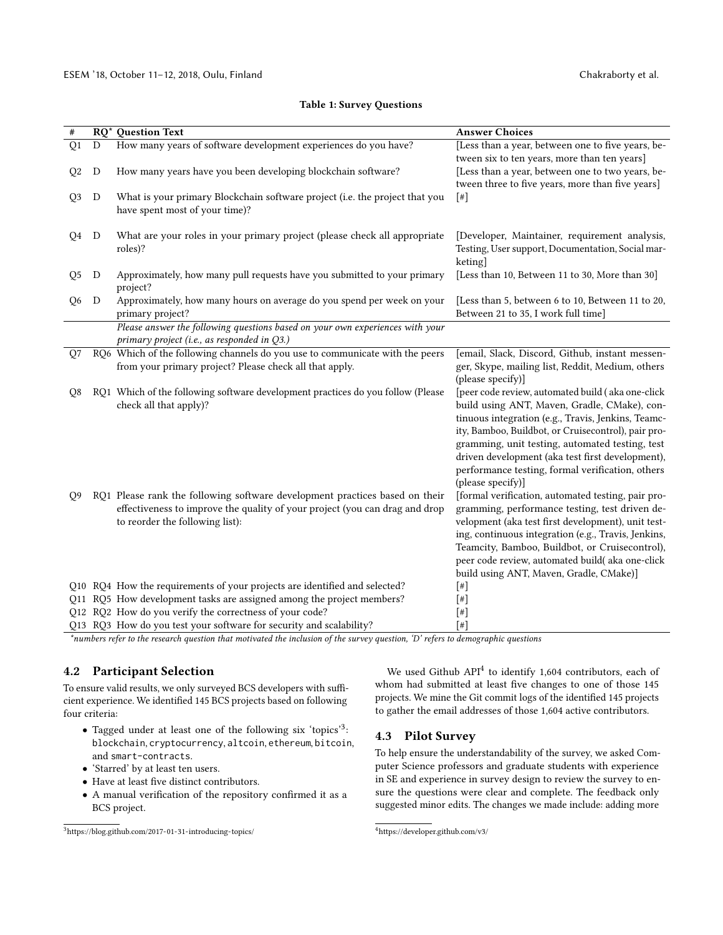#### <span id="page-3-0"></span>**Answer Choices Answer Choices Answer Choices** Q1 D How many years of software development experiences do you have? [Less than a year, between one to five years, between six to ten years, more than ten years] Q2 D How many years have you been developing blockchain software? [Less than a year, between one to two years, between three to five years, more than five years] Q3 D What is your primary Blockchain software project (i.e. the project that you have spent most of your time)?  $[$ #] Q4 D What are your roles in your primary project (please check all appropriate roles)? [Developer, Maintainer, requirement analysis, Testing, User support, Documentation, Social marketing] Q5 D Approximately, how many pull requests have you submitted to your primary project? [Less than 10, Between 11 to 30, More than 30] Q6 D Approximately, how many hours on average do you spend per week on your primary project? [Less than 5, between 6 to 10, Between 11 to 20, Between 21 to 35, I work full time] Please answer the following questions based on your own experiences with your primary project (i.e., as responded in Q3.) Q7 RQ6 Which of the following channels do you use to communicate with the peers from your primary project? Please check all that apply. [email, Slack, Discord, Github, instant messenger, Skype, mailing list, Reddit, Medium, others (please specify)] Q8 RQ1 Which of the following software development practices do you follow (Please check all that apply)? [peer code review, automated build ( aka one-click build using ANT, Maven, Gradle, CMake), continuous integration (e.g., Travis, Jenkins, Teamcity, Bamboo, Buildbot, or Cruisecontrol), pair programming, unit testing, automated testing, test driven development (aka test first development), performance testing, formal verification, others (please specify)] Q9 RQ1 Please rank the following software development practices based on their effectiveness to improve the quality of your project (you can drag and drop to reorder the following list): [formal verification, automated testing, pair programming, performance testing, test driven development (aka test first development), unit testing, continuous integration (e.g., Travis, Jenkins, Teamcity, Bamboo, Buildbot, or Cruisecontrol), peer code review, automated build( aka one-click build using ANT, Maven, Gradle, CMake)] Q10 RQ4 How the requirements of your projects are identified and selected?  $[#]$ Q11 RQ5 How development tasks are assigned among the project members? [#] Q12 RQ2 How do you verify the correctness of your code? [#]

#### Table 1: Survey Questions

Q13 RQ3 How do you test your software for security and scalability? [#]

\*numbers refer to the research question that motivated the inclusion of the survey question, 'D' refers to demographic questions

# 4.2 Participant Selection

To ensure valid results, we only surveyed BCS developers with sufficient experience. We identified 145 BCS projects based on following four criteria:

- Tagged under at least one of the following six 'topics'<sup>[3](#page-3-1)</sup>: blockchain, cryptocurrency, altcoin, ethereum, bitcoin, and smart-contracts.
- 'Starred' by at least ten users.
- Have at least five distinct contributors.
- A manual verification of the repository confirmed it as a BCS project.

We used Github API<sup>[4](#page-3-2)</sup> to identify 1,604 contributors, each of whom had submitted at least five changes to one of those 145 projects. We mine the Git commit logs of the identified 145 projects to gather the email addresses of those 1,604 active contributors.

# 4.3 Pilot Survey

To help ensure the understandability of the survey, we asked Computer Science professors and graduate students with experience in SE and experience in survey design to review the survey to ensure the questions were clear and complete. The feedback only suggested minor edits. The changes we made include: adding more

<span id="page-3-1"></span><sup>3</sup><https://blog.github.com/2017-01-31-introducing-topics/>

<span id="page-3-2"></span><sup>4</sup><https://developer.github.com/v3/>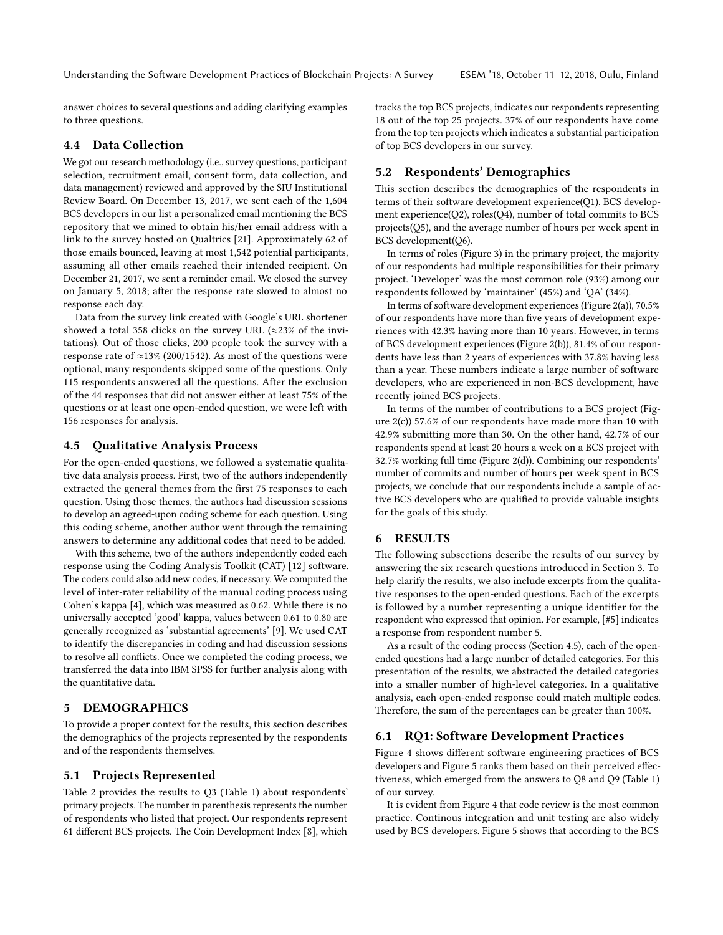Understanding the Software Development Practices of Blockchain Projects: A Survey ESEM '18, October 11-12, 2018, Oulu, Finland

answer choices to several questions and adding clarifying examples to three questions.

# 4.4 Data Collection

We got our research methodology (i.e., survey questions, participant selection, recruitment email, consent form, data collection, and data management) reviewed and approved by the SIU Institutional Review Board. On December 13, 2017, we sent each of the 1,604 BCS developers in our list a personalized email mentioning the BCS repository that we mined to obtain his/her email address with a link to the survey hosted on Qualtrics [\[21\]](#page-9-17). Approximately 62 of those emails bounced, leaving at most 1,542 potential participants, assuming all other emails reached their intended recipient. On December 21, 2017, we sent a reminder email. We closed the survey on January 5, 2018; after the response rate slowed to almost no response each day.

Data from the survey link created with Google's URL shortener showed a total 358 clicks on the survey URL ( $\approx$ 23% of the invitations). Out of those clicks, 200 people took the survey with a response rate of  $\approx$ 13% (200/1542). As most of the questions were optional, many respondents skipped some of the questions. Only 115 respondents answered all the questions. After the exclusion of the 44 responses that did not answer either at least 75% of the questions or at least one open-ended question, we were left with 156 responses for analysis.

#### <span id="page-4-2"></span>4.5 Qualitative Analysis Process

For the open-ended questions, we followed a systematic qualitative data analysis process. First, two of the authors independently extracted the general themes from the first 75 responses to each question. Using those themes, the authors had discussion sessions to develop an agreed-upon coding scheme for each question. Using this coding scheme, another author went through the remaining answers to determine any additional codes that need to be added.

With this scheme, two of the authors independently coded each response using the Coding Analysis Toolkit (CAT) [\[12\]](#page-9-18) software. The coders could also add new codes, if necessary. We computed the level of inter-rater reliability of the manual coding process using Cohen's kappa [\[4\]](#page-9-6), which was measured as 0.62. While there is no universally accepted 'good' kappa, values between 0.61 to 0.80 are generally recognized as 'substantial agreements' [\[9\]](#page-9-19). We used CAT to identify the discrepancies in coding and had discussion sessions to resolve all conflicts. Once we completed the coding process, we transferred the data into IBM SPSS for further analysis along with the quantitative data.

# <span id="page-4-0"></span>5 DEMOGRAPHICS

To provide a proper context for the results, this section describes the demographics of the projects represented by the respondents and of the respondents themselves.

#### 5.1 Projects Represented

Table [2](#page-5-0) provides the results to Q3 (Table [1\)](#page-3-0) about respondents' primary projects. The number in parenthesis represents the number of respondents who listed that project. Our respondents represent 61 different BCS projects. The Coin Development Index [\[8\]](#page-9-20), which tracks the top BCS projects, indicates our respondents representing 18 out of the top 25 projects. 37% of our respondents have come from the top ten projects which indicates a substantial participation of top BCS developers in our survey.

## 5.2 Respondents' Demographics

This section describes the demographics of the respondents in terms of their software development experience(Q1), BCS development experience(Q2), roles(Q4), number of total commits to BCS projects(Q5), and the average number of hours per week spent in BCS development(Q6).

In terms of roles (Figure [3\)](#page-5-1) in the primary project, the majority of our respondents had multiple responsibilities for their primary project. 'Developer' was the most common role (93%) among our respondents followed by 'maintainer' (45%) and 'QA' (34%).

In terms of software development experiences (Figure [2\(a\)\)](#page-5-2), 70.5% of our respondents have more than five years of development experiences with 42.3% having more than 10 years. However, in terms of BCS development experiences (Figure [2\(b\)\)](#page-5-3), 81.4% of our respondents have less than 2 years of experiences with 37.8% having less than a year. These numbers indicate a large number of software developers, who are experienced in non-BCS development, have recently joined BCS projects.

In terms of the number of contributions to a BCS project (Figure [2\(c\)\)](#page-5-4) 57.6% of our respondents have made more than 10 with 42.9% submitting more than 30. On the other hand, 42.7% of our respondents spend at least 20 hours a week on a BCS project with 32.7% working full time (Figure [2\(d\)\)](#page-5-5). Combining our respondents' number of commits and number of hours per week spent in BCS projects, we conclude that our respondents include a sample of active BCS developers who are qualified to provide valuable insights for the goals of this study.

### <span id="page-4-1"></span>6 RESULTS

The following subsections describe the results of our survey by answering the six research questions introduced in Section [3.](#page-2-0) To help clarify the results, we also include excerpts from the qualitative responses to the open-ended questions. Each of the excerpts is followed by a number representing a unique identifier for the respondent who expressed that opinion. For example, [#5] indicates a response from respondent number 5.

As a result of the coding process (Section [4.5\)](#page-4-2), each of the openended questions had a large number of detailed categories. For this presentation of the results, we abstracted the detailed categories into a smaller number of high-level categories. In a qualitative analysis, each open-ended response could match multiple codes. Therefore, the sum of the percentages can be greater than 100%.

#### 6.1 RQ1: Software Development Practices

Figure [4](#page-5-6) shows different software engineering practices of BCS developers and Figure [5](#page-5-7) ranks them based on their perceived effectiveness, which emerged from the answers to Q8 and Q9 (Table [1\)](#page-3-0) of our survey.

It is evident from Figure [4](#page-5-6) that code review is the most common practice. Continous integration and unit testing are also widely used by BCS developers. Figure [5](#page-5-7) shows that according to the BCS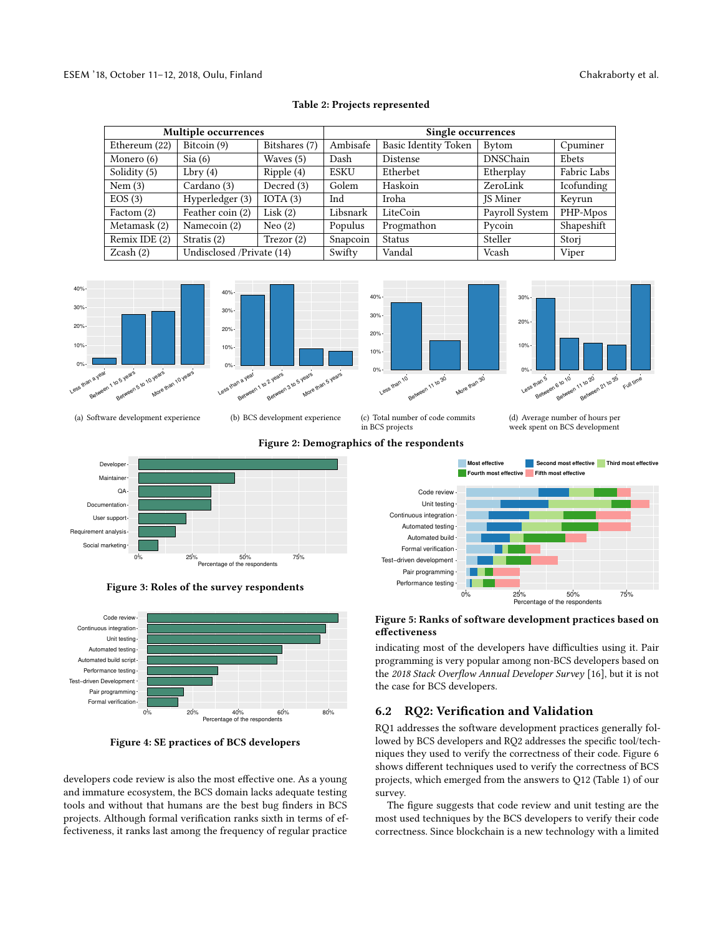<span id="page-5-0"></span>

| <b>Multiple occurrences</b> |                           |               | Single occurrences |                      |                 |             |
|-----------------------------|---------------------------|---------------|--------------------|----------------------|-----------------|-------------|
| Ethereum (22)               | Bitcoin (9)               | Bitshares (7) | Ambisafe           | Basic Identity Token | Bytom           | Cpuminer    |
| Monero (6)                  | Sia(6)                    | Waves (5)     | Dash               | Distense             | <b>DNSChain</b> | Ebets       |
| Solidity (5)                | Lbry(4)                   | Ripple(4)     | ESKU               | Etherbet             | Etherplay       | Fabric Labs |
| Nem $(3)$                   | Cardano (3)               | Decred (3)    | Golem              | Haskoin              | ZeroLink        | Icofunding  |
| EOS(3)                      | Hyperledger (3)           | IOTA $(3)$    | Ind                | Iroha                | <b>IS Miner</b> | Keyrun      |
| Factom (2)                  | Feather coin (2)          | Lisk $(2)$    | Libsnark           | LiteCoin             | Payroll System  | PHP-Mpos    |
| Metamask (2)                | Namecoin (2)              | Neo $(2)$     | Populus            | Progmathon           | Pycoin          | Shapeshift  |
| Remix IDE (2)               | Stratis $(2)$             | Trezor(2)     | Snapcoin           | <b>Status</b>        | Steller         | Stori       |
| $Z\text{cash}(2)$           | Undisclosed /Private (14) |               | Swifty             | Vandal               | Vcash           | Viper       |



<span id="page-5-2"></span>





<span id="page-5-5"></span>week spent on BCS development

(a) Software development experience

<span id="page-5-1"></span>

0% 25% 50% 75% Percentage of the respondents



<span id="page-5-6"></span>

Figure 4: SE practices of BCS developers

developers code review is also the most effective one. As a young and immature ecosystem, the BCS domain lacks adequate testing tools and without that humans are the best bug finders in BCS projects. Although formal verification ranks sixth in terms of effectiveness, it ranks last among the frequency of regular practice

<span id="page-5-3"></span>Figure 2: Demographics of the respondents

More th

<span id="page-5-4"></span>in BCS projects

Performance testing -

<span id="page-5-7"></span>

0% 25% 50% 75% Percentage of the respondents

Figure 5: Ranks of software development practices based on effectiveness

indicating most of the developers have difficulties using it. Pair programming is very popular among non-BCS developers based on the 2018 Stack Overflow Annual Developer Survey [\[16\]](#page-9-21), but it is not the case for BCS developers.

# 6.2 RQ2: Verification and Validation

RQ1 addresses the software development practices generally followed by BCS developers and RQ2 addresses the specific tool/techniques they used to verify the correctness of their code. Figure [6](#page-6-0) shows different techniques used to verify the correctness of BCS projects, which emerged from the answers to Q12 (Table [1\)](#page-3-0) of our survey.

The figure suggests that code review and unit testing are the most used techniques by the BCS developers to verify their code correctness. Since blockchain is a new technology with a limited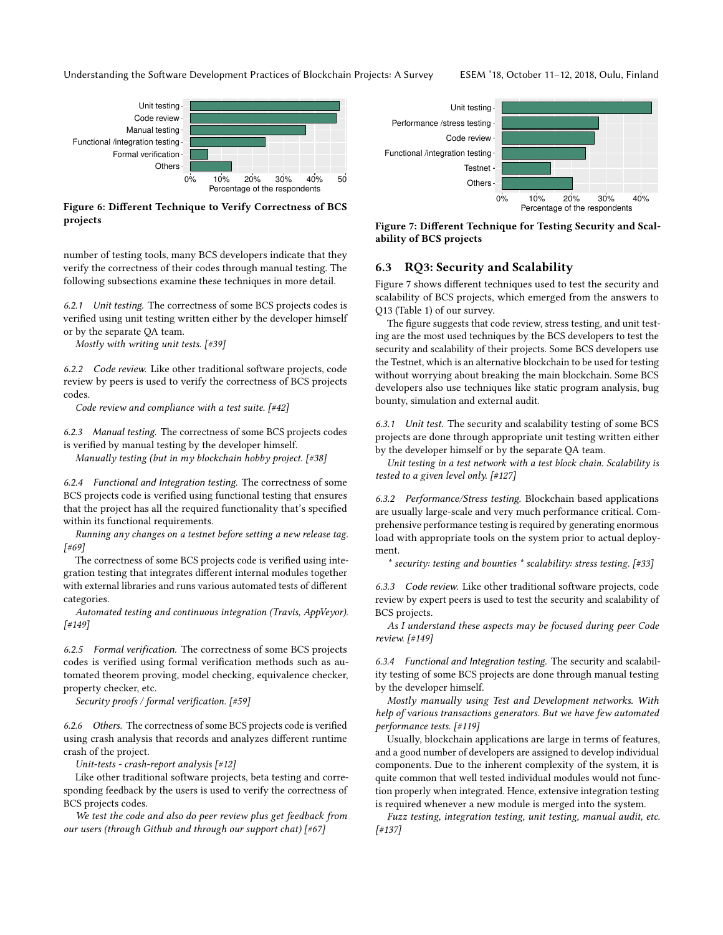Understanding the Software Development Practices of Blockchain Projects: A Survey ESEM '18, October 11-12, 2018, Oulu, Finland

<span id="page-6-0"></span>

Figure 6: Different Technique to Verify Correctness of BCS projects

number of testing tools, many BCS developers indicate that they verify the correctness of their codes through manual testing. The following subsections examine these techniques in more detail.

6.2.1 Unit testing. The correctness of some BCS projects codes is verified using unit testing written either by the developer himself or by the separate QA team.

Mostly with writing unit tests. [#39]

6.2.2 Code review. Like other traditional software projects, code review by peers is used to verify the correctness of BCS projects codes.

Code review and compliance with a test suite. [#42]

6.2.3 Manual testing. The correctness of some BCS projects codes is verified by manual testing by the developer himself.

Manually testing (but in my blockchain hobby project.  $[#38]$ 

6.2.4 Functional and Integration testing. The correctness of some BCS projects code is verified using functional testing that ensures that the project has all the required functionality that's specified within its functional requirements.

Running any changes on a testnet before setting a new release tag. [#69]

The correctness of some BCS projects code is verified using integration testing that integrates different internal modules together with external libraries and runs various automated tests of different categories.

Automated testing and continuous integration (Travis, AppVeyor). [#149]

6.2.5 Formal verification. The correctness of some BCS projects codes is verified using formal verification methods such as automated theorem proving, model checking, equivalence checker, property checker, etc.

Security proofs / formal verification. [#59]

6.2.6 Others. The correctness of some BCS projects code is verified using crash analysis that records and analyzes different runtime crash of the project.

Unit-tests - crash-report analysis [#12]

Like other traditional software projects, beta testing and corresponding feedback by the users is used to verify the correctness of BCS projects codes.

We test the code and also do peer review plus get feedback from our users (through Github and through our support chat) [#67]

<span id="page-6-1"></span>

Figure 7: Different Technique for Testing Security and Scalability of BCS projects

#### 6.3 RQ3: Security and Scalability

Figure [7](#page-6-1) shows different techniques used to test the security and scalability of BCS projects, which emerged from the answers to Q13 (Table [1\)](#page-3-0) of our survey.

The figure suggests that code review, stress testing, and unit testing are the most used techniques by the BCS developers to test the security and scalability of their projects. Some BCS developers use the Testnet, which is an alternative blockchain to be used for testing without worrying about breaking the main blockchain. Some BCS developers also use techniques like static program analysis, bug bounty, simulation and external audit.

6.3.1 Unit test. The security and scalability testing of some BCS projects are done through appropriate unit testing written either by the developer himself or by the separate QA team.

Unit testing in a test network with a test block chain. Scalability is tested to a given level only. [#127]

6.3.2 Performance/Stress testing. Blockchain based applications are usually large-scale and very much performance critical. Comprehensive performance testing is required by generating enormous load with appropriate tools on the system prior to actual deployment.

\* security: testing and bounties \* scalability: stress testing. [#33]

6.3.3 Code review. Like other traditional software projects, code review by expert peers is used to test the security and scalability of BCS projects.

As I understand these aspects may be focused during peer Code review. [#149]

6.3.4 Functional and Integration testing. The security and scalability testing of some BCS projects are done through manual testing by the developer himself.

Mostly manually using Test and Development networks. With help of various transactions generators. But we have few automated performance tests. [#119]

Usually, blockchain applications are large in terms of features, and a good number of developers are assigned to develop individual components. Due to the inherent complexity of the system, it is quite common that well tested individual modules would not function properly when integrated. Hence, extensive integration testing is required whenever a new module is merged into the system.

Fuzz testing, integration testing, unit testing, manual audit, etc. [#137]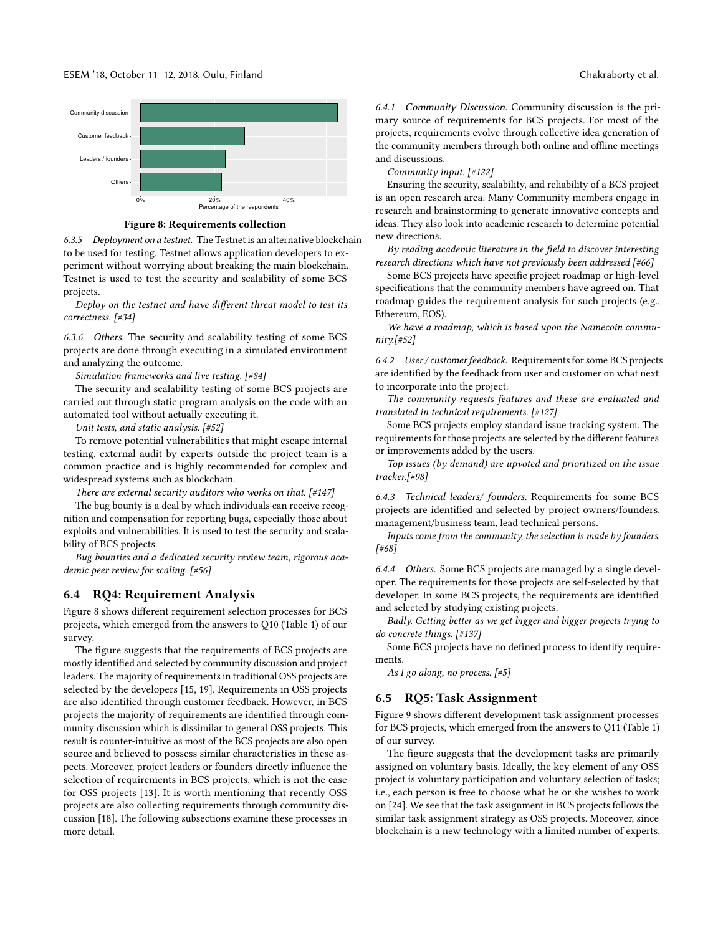<span id="page-7-0"></span>

Figure 8: Requirements collection

6.3.5 Deployment on a testnet. The Testnet is an alternative blockchain to be used for testing. Testnet allows application developers to experiment without worrying about breaking the main blockchain. Testnet is used to test the security and scalability of some BCS projects.

Deploy on the testnet and have different threat model to test its correctness. [#34]

6.3.6 Others. The security and scalability testing of some BCS projects are done through executing in a simulated environment and analyzing the outcome.

Simulation frameworks and live testing. [#84]

The security and scalability testing of some BCS projects are carried out through static program analysis on the code with an automated tool without actually executing it.

Unit tests, and static analysis. [#52]

To remove potential vulnerabilities that might escape internal testing, external audit by experts outside the project team is a common practice and is highly recommended for complex and widespread systems such as blockchain.

There are external security auditors who works on that.  $[#147]$ 

The bug bounty is a deal by which individuals can receive recognition and compensation for reporting bugs, especially those about exploits and vulnerabilities. It is used to test the security and scalability of BCS projects.

Bug bounties and a dedicated security review team, rigorous academic peer review for scaling. [#56]

#### 6.4 RQ4: Requirement Analysis

Figure [8](#page-7-0) shows different requirement selection processes for BCS projects, which emerged from the answers to Q10 (Table [1\)](#page-3-0) of our survey.

The figure suggests that the requirements of BCS projects are mostly identified and selected by community discussion and project leaders. The majority of requirements in traditional OSS projects are selected by the developers [\[15,](#page-9-7) [19\]](#page-9-8). Requirements in OSS projects are also identified through customer feedback. However, in BCS projects the majority of requirements are identified through community discussion which is dissimilar to general OSS projects. This result is counter-intuitive as most of the BCS projects are also open source and believed to possess similar characteristics in these aspects. Moreover, project leaders or founders directly influence the selection of requirements in BCS projects, which is not the case for OSS projects [\[13\]](#page-9-22). It is worth mentioning that recently OSS projects are also collecting requirements through community discussion [\[18\]](#page-9-23). The following subsections examine these processes in more detail.

6.4.1 Community Discussion. Community discussion is the primary source of requirements for BCS projects. For most of the projects, requirements evolve through collective idea generation of the community members through both online and offline meetings and discussions.

Community input. [#122]

Ensuring the security, scalability, and reliability of a BCS project is an open research area. Many Community members engage in research and brainstorming to generate innovative concepts and ideas. They also look into academic research to determine potential new directions.

By reading academic literature in the field to discover interesting research directions which have not previously been addressed [#66]

Some BCS projects have specific project roadmap or high-level specifications that the community members have agreed on. That roadmap guides the requirement analysis for such projects (e.g., Ethereum, EOS).

We have a roadmap, which is based upon the Namecoin community.[#52]

6.4.2 User / customer feedback. Requirements for some BCS projects are identified by the feedback from user and customer on what next to incorporate into the project.

The community requests features and these are evaluated and translated in technical requirements. [#127]

Some BCS projects employ standard issue tracking system. The requirements for those projects are selected by the different features or improvements added by the users.

Top issues (by demand) are upvoted and prioritized on the issue tracker.[#98]

6.4.3 Technical leaders/ founders. Requirements for some BCS projects are identified and selected by project owners/founders, management/business team, lead technical persons.

Inputs come from the community, the selection is made by founders. [#68]

6.4.4 Others. Some BCS projects are managed by a single developer. The requirements for those projects are self-selected by that developer. In some BCS projects, the requirements are identified and selected by studying existing projects.

Badly. Getting better as we get bigger and bigger projects trying to do concrete things. [#137]

Some BCS projects have no defined process to identify requirements.

As I go along, no process.  $[#5]$ 

#### 6.5 RQ5: Task Assignment

Figure [9](#page-8-1) shows different development task assignment processes for BCS projects, which emerged from the answers to Q11 (Table [1\)](#page-3-0) of our survey.

The figure suggests that the development tasks are primarily assigned on voluntary basis. Ideally, the key element of any OSS project is voluntary participation and voluntary selection of tasks; i.e., each person is free to choose what he or she wishes to work on [\[24\]](#page-9-9). We see that the task assignment in BCS projects follows the similar task assignment strategy as OSS projects. Moreover, since blockchain is a new technology with a limited number of experts,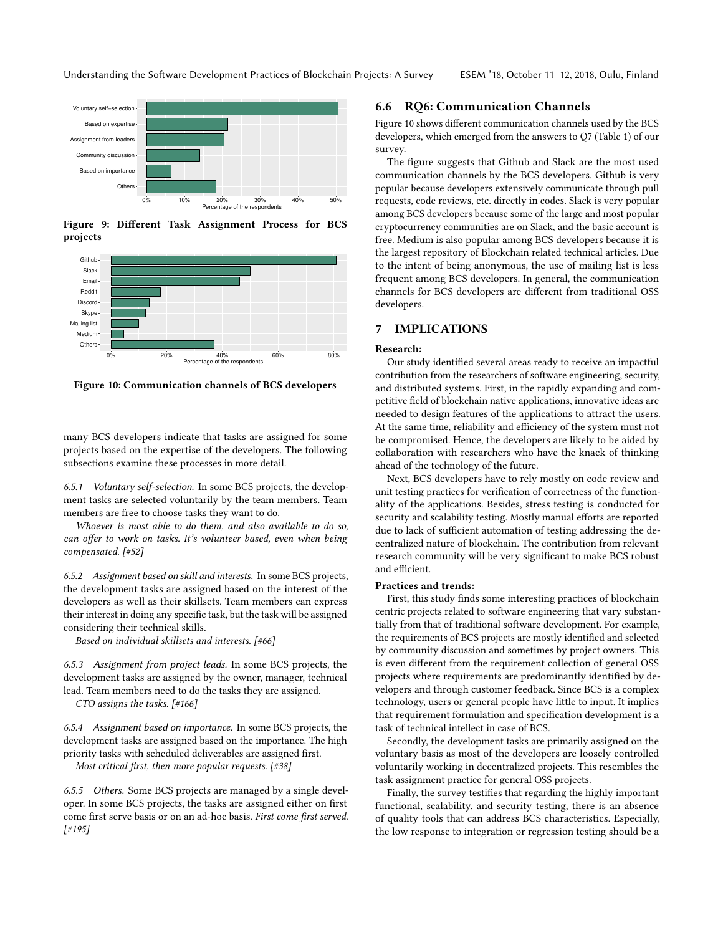<span id="page-8-1"></span>

Figure 9: Different Task Assignment Process for BCS projects

<span id="page-8-2"></span>

Figure 10: Communication channels of BCS developers

many BCS developers indicate that tasks are assigned for some projects based on the expertise of the developers. The following subsections examine these processes in more detail.

6.5.1 Voluntary self-selection. In some BCS projects, the development tasks are selected voluntarily by the team members. Team members are free to choose tasks they want to do.

Whoever is most able to do them, and also available to do so, can offer to work on tasks. It's volunteer based, even when being compensated. [#52]

6.5.2 Assignment based on skill and interests. In some BCS projects, the development tasks are assigned based on the interest of the developers as well as their skillsets. Team members can express their interest in doing any specific task, but the task will be assigned considering their technical skills.

Based on individual skillsets and interests. [#66]

6.5.3 Assignment from project leads. In some BCS projects, the development tasks are assigned by the owner, manager, technical lead. Team members need to do the tasks they are assigned.

CTO assigns the tasks. [#166]

6.5.4 Assignment based on importance. In some BCS projects, the development tasks are assigned based on the importance. The high priority tasks with scheduled deliverables are assigned first. Most critical first, then more popular requests. [#38]

6.5.5 Others. Some BCS projects are managed by a single developer. In some BCS projects, the tasks are assigned either on first come first serve basis or on an ad-hoc basis. First come first served. [#195]

#### 6.6 RQ6: Communication Channels

Figure [10](#page-8-2) shows different communication channels used by the BCS developers, which emerged from the answers to Q7 (Table [1\)](#page-3-0) of our survey.

The figure suggests that Github and Slack are the most used communication channels by the BCS developers. Github is very popular because developers extensively communicate through pull requests, code reviews, etc. directly in codes. Slack is very popular among BCS developers because some of the large and most popular cryptocurrency communities are on Slack, and the basic account is free. Medium is also popular among BCS developers because it is the largest repository of Blockchain related technical articles. Due to the intent of being anonymous, the use of mailing list is less frequent among BCS developers. In general, the communication channels for BCS developers are different from traditional OSS developers.

# <span id="page-8-0"></span>7 IMPLICATIONS

#### Research:

Our study identified several areas ready to receive an impactful contribution from the researchers of software engineering, security, and distributed systems. First, in the rapidly expanding and competitive field of blockchain native applications, innovative ideas are needed to design features of the applications to attract the users. At the same time, reliability and efficiency of the system must not be compromised. Hence, the developers are likely to be aided by collaboration with researchers who have the knack of thinking ahead of the technology of the future.

Next, BCS developers have to rely mostly on code review and unit testing practices for verification of correctness of the functionality of the applications. Besides, stress testing is conducted for security and scalability testing. Mostly manual efforts are reported due to lack of sufficient automation of testing addressing the decentralized nature of blockchain. The contribution from relevant research community will be very significant to make BCS robust and efficient.

#### Practices and trends:

First, this study finds some interesting practices of blockchain centric projects related to software engineering that vary substantially from that of traditional software development. For example, the requirements of BCS projects are mostly identified and selected by community discussion and sometimes by project owners. This is even different from the requirement collection of general OSS projects where requirements are predominantly identified by developers and through customer feedback. Since BCS is a complex technology, users or general people have little to input. It implies that requirement formulation and specification development is a task of technical intellect in case of BCS.

Secondly, the development tasks are primarily assigned on the voluntary basis as most of the developers are loosely controlled voluntarily working in decentralized projects. This resembles the task assignment practice for general OSS projects.

Finally, the survey testifies that regarding the highly important functional, scalability, and security testing, there is an absence of quality tools that can address BCS characteristics. Especially, the low response to integration or regression testing should be a